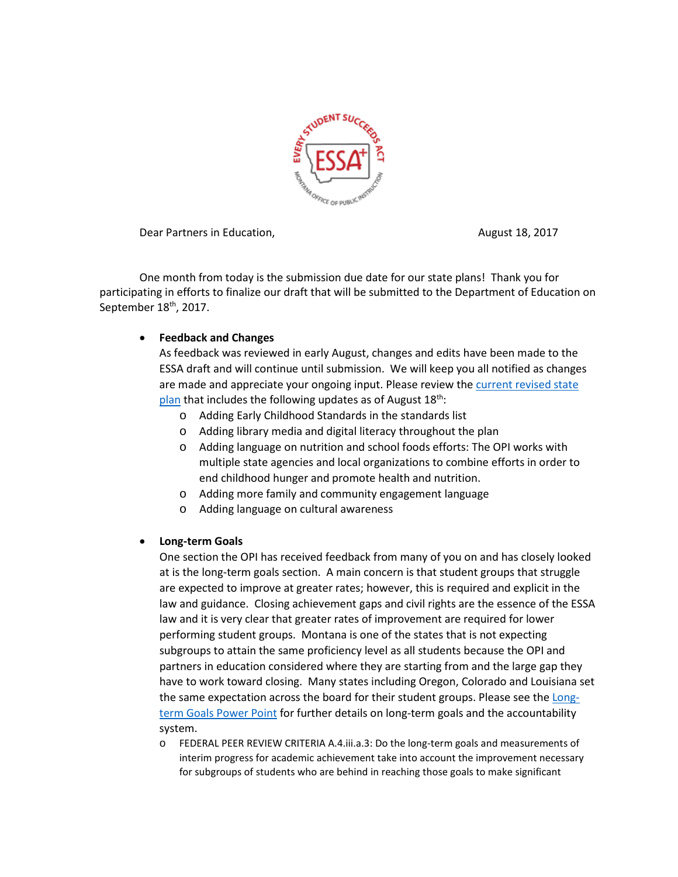

Dear Partners in Education, The Contraction of the August 18, 2017

One month from today is the submission due date for our state plans! Thank you for participating in efforts to finalize our draft that will be submitted to the Department of Education on September 18<sup>th</sup>, 2017.

# • **Feedback and Changes**

As feedback was reviewed in early August, changes and edits have been made to the ESSA draft and will continue until submission. We will keep you all notified as changes are made and appreciate your ongoing input. Please review the [current revised state](http://opi.mt.gov/pdf/ESSA/17AugESSA_Draft.pdf)  [plan](http://opi.mt.gov/pdf/ESSA/17AugESSA_Draft.pdf) that includes the following updates as of August  $18<sup>th</sup>$ :

- o Adding Early Childhood Standards in the standards list
- o Adding library media and digital literacy throughout the plan
- o Adding language on nutrition and school foods efforts: The OPI works with multiple state agencies and local organizations to combine efforts in order to end childhood hunger and promote health and nutrition.
- o Adding more family and community engagement language
- o Adding language on cultural awareness

## • **Long-term Goals**

One section the OPI has received feedback from many of you on and has closely looked at is the long-term goals section. A main concern is that student groups that struggle are expected to improve at greater rates; however, this is required and explicit in the law and guidance. Closing achievement gaps and civil rights are the essence of the ESSA law and it is very clear that greater rates of improvement are required for lower performing student groups. Montana is one of the states that is not expecting subgroups to attain the same proficiency level as all students because the OPI and partners in education considered where they are starting from and the large gap they have to work toward closing. Many states including Oregon, Colorado and Louisiana set the same expectation across the board for their student groups. Please see th[e Long](http://www.opi.mt.gov/PDF/ESSA/LONG-TERM_GOALS.pptx)term Goals [Power Point](http://www.opi.mt.gov/PDF/ESSA/LONG-TERM_GOALS.pptx) for further details on long-term goals and the accountability system.

o FEDERAL PEER REVIEW CRITERIA A.4.iii.a.3: Do the long-term goals and measurements of interim progress for academic achievement take into account the improvement necessary for subgroups of students who are behind in reaching those goals to make significant